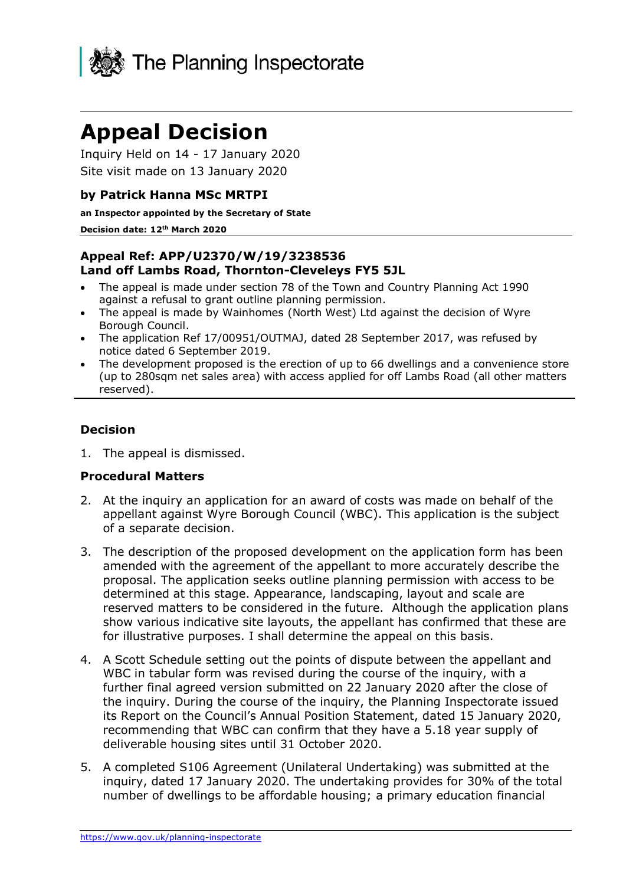

# **Appeal Decision**

Inquiry Held on 14 - 17 January 2020 Site visit made on 13 January 2020

## **by Patrick Hanna MSc MRTPI**

**an Inspector appointed by the Secretary of State**

#### **Decision date: 12th March 2020**

## **Appeal Ref: APP/U2370/W/19/3238536 Land off Lambs Road, Thornton-Cleveleys FY5 5JL**

- The appeal is made under section 78 of the Town and Country Planning Act 1990 against a refusal to grant outline planning permission.
- The appeal is made by Wainhomes (North West) Ltd against the decision of Wyre Borough Council.
- The application Ref 17/00951/OUTMAJ, dated 28 September 2017, was refused by notice dated 6 September 2019.
- The development proposed is the erection of up to 66 dwellings and a convenience store (up to 280sqm net sales area) with access applied for off Lambs Road (all other matters reserved).

## **Decision**

1. The appeal is dismissed.

## **Procedural Matters**

- 2. At the inquiry an application for an award of costs was made on behalf of the appellant against Wyre Borough Council (WBC). This application is the subject of a separate decision.
- 3. The description of the proposed development on the application form has been amended with the agreement of the appellant to more accurately describe the proposal. The application seeks outline planning permission with access to be determined at this stage. Appearance, landscaping, layout and scale are reserved matters to be considered in the future. Although the application plans show various indicative site layouts, the appellant has confirmed that these are for illustrative purposes. I shall determine the appeal on this basis.
- 4. A Scott Schedule setting out the points of dispute between the appellant and WBC in tabular form was revised during the course of the inquiry, with a further final agreed version submitted on 22 January 2020 after the close of the inquiry. During the course of the inquiry, the Planning Inspectorate issued its Report on the Council's Annual Position Statement, dated 15 January 2020, recommending that WBC can confirm that they have a 5.18 year supply of deliverable housing sites until 31 October 2020.
- 5. A completed S106 Agreement (Unilateral Undertaking) was submitted at the inquiry, dated 17 January 2020. The undertaking provides for 30% of the total number of dwellings to be affordable housing; a primary education financial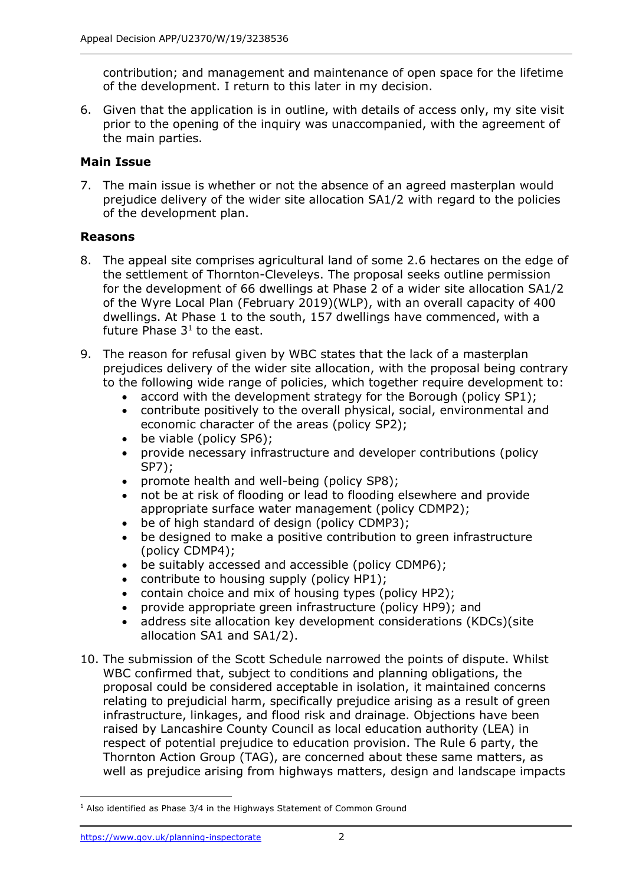contribution; and management and maintenance of open space for the lifetime of the development. I return to this later in my decision.

6. Given that the application is in outline, with details of access only, my site visit prior to the opening of the inquiry was unaccompanied, with the agreement of the main parties.

# **Main Issue**

7. The main issue is whether or not the absence of an agreed masterplan would prejudice delivery of the wider site allocation SA1/2 with regard to the policies of the development plan.

# **Reasons**

- 8. The appeal site comprises agricultural land of some 2.6 hectares on the edge of the settlement of Thornton-Cleveleys. The proposal seeks outline permission for the development of 66 dwellings at Phase 2 of a wider site allocation SA1/2 of the Wyre Local Plan (February 2019)(WLP), with an overall capacity of 400 dwellings. At Phase 1 to the south, 157 dwellings have commenced, with a future Phase  $3<sup>1</sup>$  to the east.
- 9. The reason for refusal given by WBC states that the lack of a masterplan prejudices delivery of the wider site allocation, with the proposal being contrary to the following wide range of policies, which together require development to:
	- accord with the development strategy for the Borough (policy SP1);
	- contribute positively to the overall physical, social, environmental and economic character of the areas (policy SP2);
	- be viable (policy SP6);
	- provide necessary infrastructure and developer contributions (policy SP7);
	- promote health and well-being (policy SP8);
	- not be at risk of flooding or lead to flooding elsewhere and provide appropriate surface water management (policy CDMP2);
	- be of high standard of design (policy CDMP3);
	- be designed to make a positive contribution to green infrastructure (policy CDMP4);
	- be suitably accessed and accessible (policy CDMP6);
	- contribute to housing supply (policy HP1);
	- contain choice and mix of housing types (policy HP2);
	- provide appropriate green infrastructure (policy HP9); and
	- address site allocation key development considerations (KDCs)(site allocation SA1 and SA1/2).
- 10. The submission of the Scott Schedule narrowed the points of dispute. Whilst WBC confirmed that, subject to conditions and planning obligations, the proposal could be considered acceptable in isolation, it maintained concerns relating to prejudicial harm, specifically prejudice arising as a result of green infrastructure, linkages, and flood risk and drainage. Objections have been raised by Lancashire County Council as local education authority (LEA) in respect of potential prejudice to education provision. The Rule 6 party, the Thornton Action Group (TAG), are concerned about these same matters, as well as prejudice arising from highways matters, design and landscape impacts

 $1$  Also identified as Phase 3/4 in the Highways Statement of Common Ground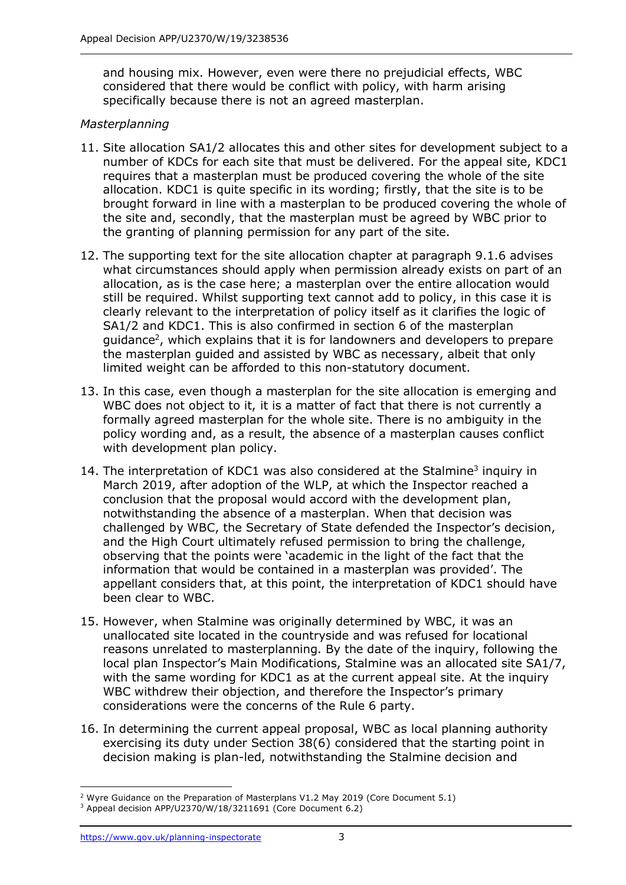and housing mix. However, even were there no prejudicial effects, WBC considered that there would be conflict with policy, with harm arising specifically because there is not an agreed masterplan.

# *Masterplanning*

- 11. Site allocation SA1/2 allocates this and other sites for development subject to a number of KDCs for each site that must be delivered. For the appeal site, KDC1 requires that a masterplan must be produced covering the whole of the site allocation. KDC1 is quite specific in its wording; firstly, that the site is to be brought forward in line with a masterplan to be produced covering the whole of the site and, secondly, that the masterplan must be agreed by WBC prior to the granting of planning permission for any part of the site.
- 12. The supporting text for the site allocation chapter at paragraph 9.1.6 advises what circumstances should apply when permission already exists on part of an allocation, as is the case here; a masterplan over the entire allocation would still be required. Whilst supporting text cannot add to policy, in this case it is clearly relevant to the interpretation of policy itself as it clarifies the logic of SA1/2 and KDC1. This is also confirmed in section 6 of the masterplan guidance<sup>2</sup>, which explains that it is for landowners and developers to prepare the masterplan guided and assisted by WBC as necessary, albeit that only limited weight can be afforded to this non-statutory document.
- 13. In this case, even though a masterplan for the site allocation is emerging and WBC does not object to it, it is a matter of fact that there is not currently a formally agreed masterplan for the whole site. There is no ambiguity in the policy wording and, as a result, the absence of a masterplan causes conflict with development plan policy.
- 14. The interpretation of KDC1 was also considered at the Stalmine<sup>3</sup> inquiry in March 2019, after adoption of the WLP, at which the Inspector reached a conclusion that the proposal would accord with the development plan, notwithstanding the absence of a masterplan. When that decision was challenged by WBC, the Secretary of State defended the Inspector's decision, and the High Court ultimately refused permission to bring the challenge, observing that the points were 'academic in the light of the fact that the information that would be contained in a masterplan was provided'. The appellant considers that, at this point, the interpretation of KDC1 should have been clear to WBC.
- 15. However, when Stalmine was originally determined by WBC, it was an unallocated site located in the countryside and was refused for locational reasons unrelated to masterplanning. By the date of the inquiry, following the local plan Inspector's Main Modifications, Stalmine was an allocated site SA1/7, with the same wording for KDC1 as at the current appeal site. At the inquiry WBC withdrew their objection, and therefore the Inspector's primary considerations were the concerns of the Rule 6 party.
- 16. In determining the current appeal proposal, WBC as local planning authority exercising its duty under Section 38(6) considered that the starting point in decision making is plan-led, notwithstanding the Stalmine decision and

<sup>&</sup>lt;sup>2</sup> Wyre Guidance on the Preparation of Masterplans V1.2 May 2019 (Core Document 5.1)

<sup>3</sup> Appeal decision APP/U2370/W/18/3211691 (Core Document 6.2)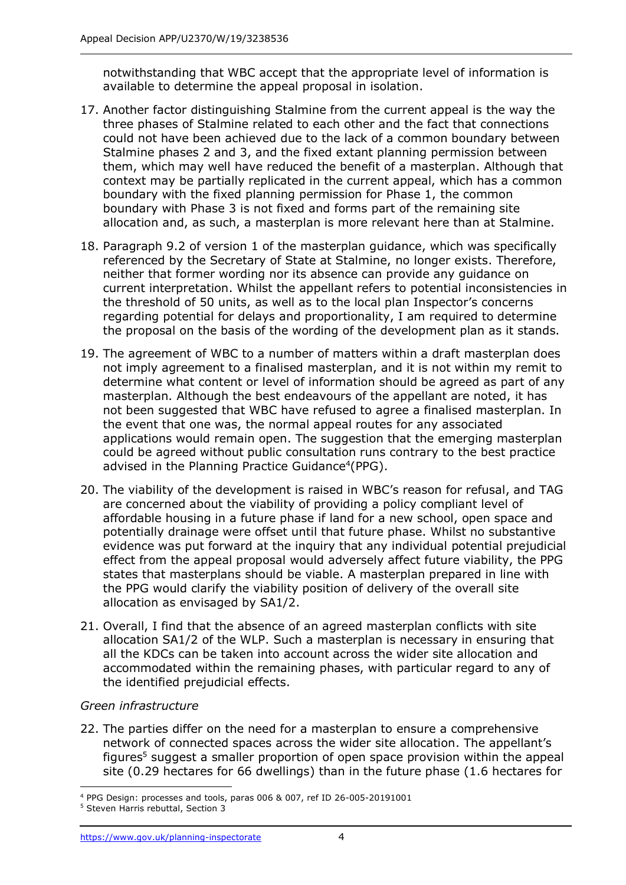notwithstanding that WBC accept that the appropriate level of information is available to determine the appeal proposal in isolation.

- 17. Another factor distinguishing Stalmine from the current appeal is the way the three phases of Stalmine related to each other and the fact that connections could not have been achieved due to the lack of a common boundary between Stalmine phases 2 and 3, and the fixed extant planning permission between them, which may well have reduced the benefit of a masterplan. Although that context may be partially replicated in the current appeal, which has a common boundary with the fixed planning permission for Phase 1, the common boundary with Phase 3 is not fixed and forms part of the remaining site allocation and, as such, a masterplan is more relevant here than at Stalmine.
- 18. Paragraph 9.2 of version 1 of the masterplan guidance, which was specifically referenced by the Secretary of State at Stalmine, no longer exists. Therefore, neither that former wording nor its absence can provide any guidance on current interpretation. Whilst the appellant refers to potential inconsistencies in the threshold of 50 units, as well as to the local plan Inspector's concerns regarding potential for delays and proportionality, I am required to determine the proposal on the basis of the wording of the development plan as it stands.
- 19. The agreement of WBC to a number of matters within a draft masterplan does not imply agreement to a finalised masterplan, and it is not within my remit to determine what content or level of information should be agreed as part of any masterplan. Although the best endeavours of the appellant are noted, it has not been suggested that WBC have refused to agree a finalised masterplan. In the event that one was, the normal appeal routes for any associated applications would remain open. The suggestion that the emerging masterplan could be agreed without public consultation runs contrary to the best practice advised in the Planning Practice Guidance<sup>4</sup>(PPG).
- 20. The viability of the development is raised in WBC's reason for refusal, and TAG are concerned about the viability of providing a policy compliant level of affordable housing in a future phase if land for a new school, open space and potentially drainage were offset until that future phase. Whilst no substantive evidence was put forward at the inquiry that any individual potential prejudicial effect from the appeal proposal would adversely affect future viability, the PPG states that masterplans should be viable. A masterplan prepared in line with the PPG would clarify the viability position of delivery of the overall site allocation as envisaged by SA1/2.
- 21. Overall, I find that the absence of an agreed masterplan conflicts with site allocation SA1/2 of the WLP. Such a masterplan is necessary in ensuring that all the KDCs can be taken into account across the wider site allocation and accommodated within the remaining phases, with particular regard to any of the identified prejudicial effects.

## *Green infrastructure*

22. The parties differ on the need for a masterplan to ensure a comprehensive network of connected spaces across the wider site allocation. The appellant's figures <sup>5</sup> suggest a smaller proportion of open space provision within the appeal site (0.29 hectares for 66 dwellings) than in the future phase (1.6 hectares for

<sup>4</sup> PPG Design: processes and tools, paras 006 & 007, ref ID 26-005-20191001

<sup>5</sup> Steven Harris rebuttal, Section 3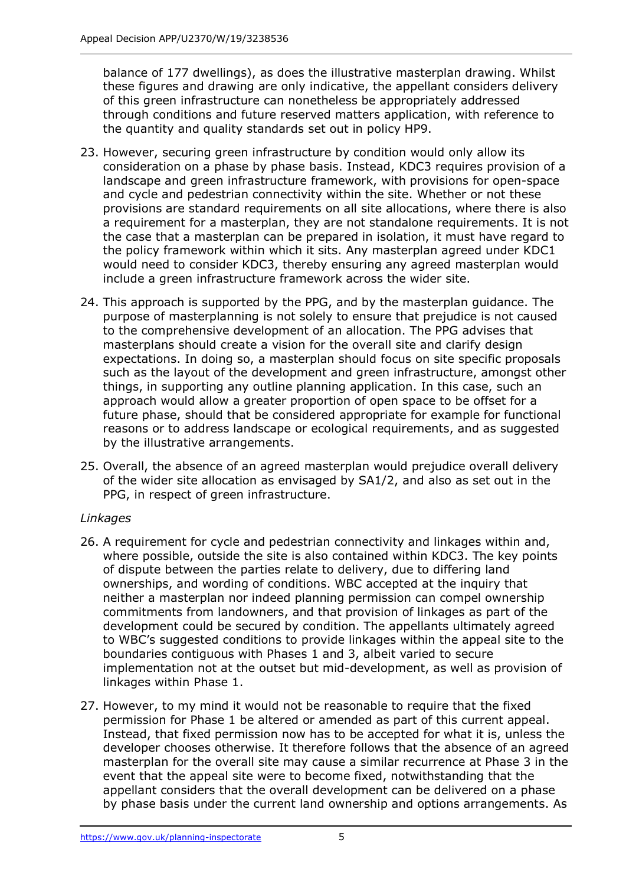balance of 177 dwellings), as does the illustrative masterplan drawing. Whilst these figures and drawing are only indicative, the appellant considers delivery of this green infrastructure can nonetheless be appropriately addressed through conditions and future reserved matters application, with reference to the quantity and quality standards set out in policy HP9.

- 23. However, securing green infrastructure by condition would only allow its consideration on a phase by phase basis. Instead, KDC3 requires provision of a landscape and green infrastructure framework, with provisions for open-space and cycle and pedestrian connectivity within the site. Whether or not these provisions are standard requirements on all site allocations, where there is also a requirement for a masterplan, they are not standalone requirements. It is not the case that a masterplan can be prepared in isolation, it must have regard to the policy framework within which it sits. Any masterplan agreed under KDC1 would need to consider KDC3, thereby ensuring any agreed masterplan would include a green infrastructure framework across the wider site.
- 24. This approach is supported by the PPG, and by the masterplan guidance. The purpose of masterplanning is not solely to ensure that prejudice is not caused to the comprehensive development of an allocation. The PPG advises that masterplans should create a vision for the overall site and clarify design expectations. In doing so, a masterplan should focus on site specific proposals such as the layout of the development and green infrastructure, amongst other things, in supporting any outline planning application. In this case, such an approach would allow a greater proportion of open space to be offset for a future phase, should that be considered appropriate for example for functional reasons or to address landscape or ecological requirements, and as suggested by the illustrative arrangements.
- 25. Overall, the absence of an agreed masterplan would prejudice overall delivery of the wider site allocation as envisaged by SA1/2, and also as set out in the PPG, in respect of green infrastructure.

# *Linkages*

- 26. A requirement for cycle and pedestrian connectivity and linkages within and, where possible, outside the site is also contained within KDC3. The key points of dispute between the parties relate to delivery, due to differing land ownerships, and wording of conditions. WBC accepted at the inquiry that neither a masterplan nor indeed planning permission can compel ownership commitments from landowners, and that provision of linkages as part of the development could be secured by condition. The appellants ultimately agreed to WBC's suggested conditions to provide linkages within the appeal site to the boundaries contiguous with Phases 1 and 3, albeit varied to secure implementation not at the outset but mid-development, as well as provision of linkages within Phase 1.
- 27. However, to my mind it would not be reasonable to require that the fixed permission for Phase 1 be altered or amended as part of this current appeal. Instead, that fixed permission now has to be accepted for what it is, unless the developer chooses otherwise. It therefore follows that the absence of an agreed masterplan for the overall site may cause a similar recurrence at Phase 3 in the event that the appeal site were to become fixed, notwithstanding that the appellant considers that the overall development can be delivered on a phase by phase basis under the current land ownership and options arrangements. As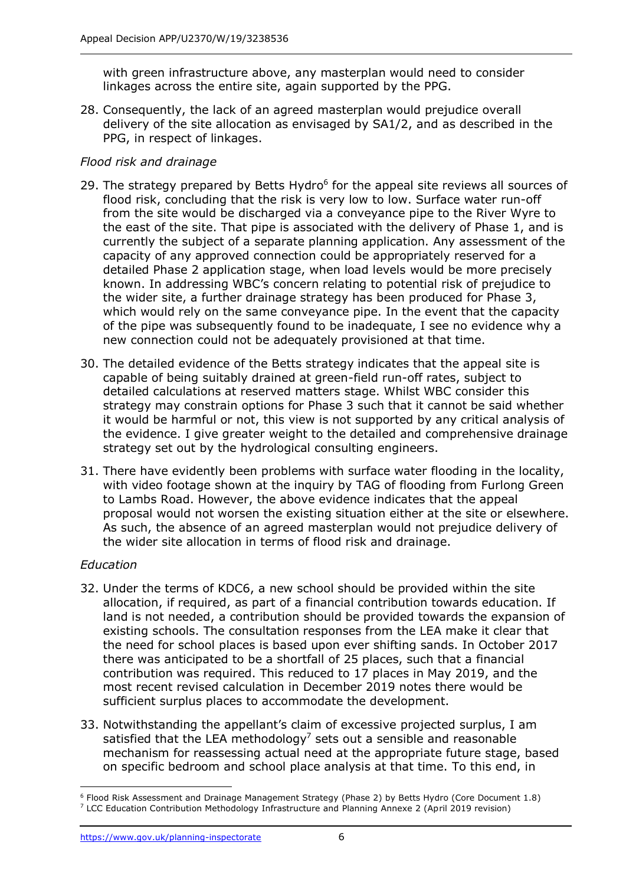with green infrastructure above, any masterplan would need to consider linkages across the entire site, again supported by the PPG.

28. Consequently, the lack of an agreed masterplan would prejudice overall delivery of the site allocation as envisaged by SA1/2, and as described in the PPG, in respect of linkages.

# *Flood risk and drainage*

- 29. The strategy prepared by Betts Hydro $6$  for the appeal site reviews all sources of flood risk, concluding that the risk is very low to low. Surface water run-off from the site would be discharged via a conveyance pipe to the River Wyre to the east of the site. That pipe is associated with the delivery of Phase 1, and is currently the subject of a separate planning application. Any assessment of the capacity of any approved connection could be appropriately reserved for a detailed Phase 2 application stage, when load levels would be more precisely known. In addressing WBC's concern relating to potential risk of prejudice to the wider site, a further drainage strategy has been produced for Phase 3, which would rely on the same conveyance pipe. In the event that the capacity of the pipe was subsequently found to be inadequate, I see no evidence why a new connection could not be adequately provisioned at that time.
- 30. The detailed evidence of the Betts strategy indicates that the appeal site is capable of being suitably drained at green-field run-off rates, subject to detailed calculations at reserved matters stage. Whilst WBC consider this strategy may constrain options for Phase 3 such that it cannot be said whether it would be harmful or not, this view is not supported by any critical analysis of the evidence. I give greater weight to the detailed and comprehensive drainage strategy set out by the hydrological consulting engineers.
- 31. There have evidently been problems with surface water flooding in the locality, with video footage shown at the inquiry by TAG of flooding from Furlong Green to Lambs Road. However, the above evidence indicates that the appeal proposal would not worsen the existing situation either at the site or elsewhere. As such, the absence of an agreed masterplan would not prejudice delivery of the wider site allocation in terms of flood risk and drainage.

# *Education*

- 32. Under the terms of KDC6, a new school should be provided within the site allocation, if required, as part of a financial contribution towards education. If land is not needed, a contribution should be provided towards the expansion of existing schools. The consultation responses from the LEA make it clear that the need for school places is based upon ever shifting sands. In October 2017 there was anticipated to be a shortfall of 25 places, such that a financial contribution was required. This reduced to 17 places in May 2019, and the most recent revised calculation in December 2019 notes there would be sufficient surplus places to accommodate the development.
- 33. Notwithstanding the appellant's claim of excessive projected surplus, I am satisfied that the LEA methodology<sup>7</sup> sets out a sensible and reasonable mechanism for reassessing actual need at the appropriate future stage, based on specific bedroom and school place analysis at that time. To this end, in

<sup>6</sup> Flood Risk Assessment and Drainage Management Strategy (Phase 2) by Betts Hydro (Core Document 1.8) <sup>7</sup> LCC Education Contribution Methodology Infrastructure and Planning Annexe 2 (April 2019 revision)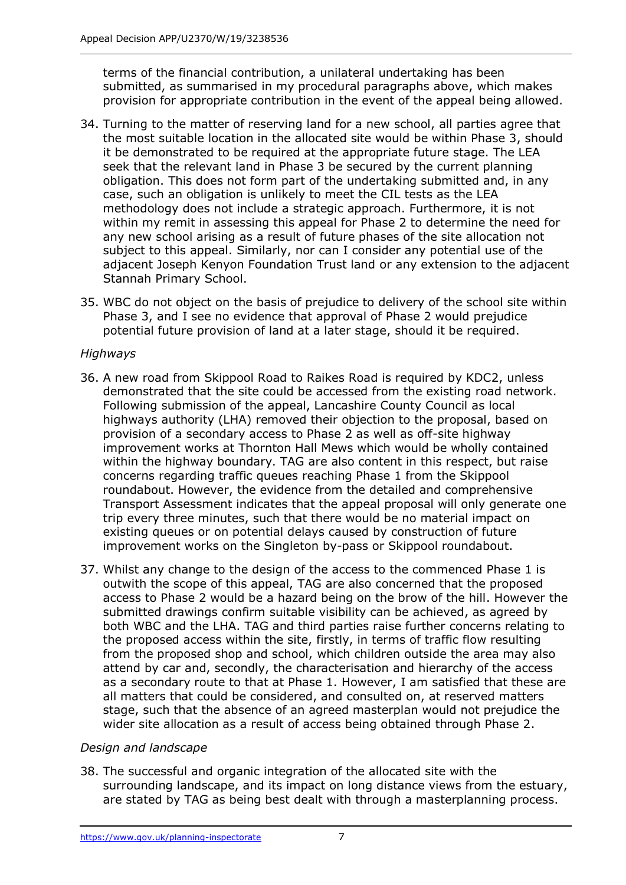terms of the financial contribution, a unilateral undertaking has been submitted, as summarised in my procedural paragraphs above, which makes provision for appropriate contribution in the event of the appeal being allowed.

- 34. Turning to the matter of reserving land for a new school, all parties agree that the most suitable location in the allocated site would be within Phase 3, should it be demonstrated to be required at the appropriate future stage. The LEA seek that the relevant land in Phase 3 be secured by the current planning obligation. This does not form part of the undertaking submitted and, in any case, such an obligation is unlikely to meet the CIL tests as the LEA methodology does not include a strategic approach. Furthermore, it is not within my remit in assessing this appeal for Phase 2 to determine the need for any new school arising as a result of future phases of the site allocation not subject to this appeal. Similarly, nor can I consider any potential use of the adjacent Joseph Kenyon Foundation Trust land or any extension to the adjacent Stannah Primary School.
- 35. WBC do not object on the basis of prejudice to delivery of the school site within Phase 3, and I see no evidence that approval of Phase 2 would prejudice potential future provision of land at a later stage, should it be required.

# *Highways*

- 36. A new road from Skippool Road to Raikes Road is required by KDC2, unless demonstrated that the site could be accessed from the existing road network. Following submission of the appeal, Lancashire County Council as local highways authority (LHA) removed their objection to the proposal, based on provision of a secondary access to Phase 2 as well as off-site highway improvement works at Thornton Hall Mews which would be wholly contained within the highway boundary. TAG are also content in this respect, but raise concerns regarding traffic queues reaching Phase 1 from the Skippool roundabout. However, the evidence from the detailed and comprehensive Transport Assessment indicates that the appeal proposal will only generate one trip every three minutes, such that there would be no material impact on existing queues or on potential delays caused by construction of future improvement works on the Singleton by-pass or Skippool roundabout.
- 37. Whilst any change to the design of the access to the commenced Phase 1 is outwith the scope of this appeal, TAG are also concerned that the proposed access to Phase 2 would be a hazard being on the brow of the hill. However the submitted drawings confirm suitable visibility can be achieved, as agreed by both WBC and the LHA. TAG and third parties raise further concerns relating to the proposed access within the site, firstly, in terms of traffic flow resulting from the proposed shop and school, which children outside the area may also attend by car and, secondly, the characterisation and hierarchy of the access as a secondary route to that at Phase 1. However, I am satisfied that these are all matters that could be considered, and consulted on, at reserved matters stage, such that the absence of an agreed masterplan would not prejudice the wider site allocation as a result of access being obtained through Phase 2.

# *Design and landscape*

38. The successful and organic integration of the allocated site with the surrounding landscape, and its impact on long distance views from the estuary, are stated by TAG as being best dealt with through a masterplanning process.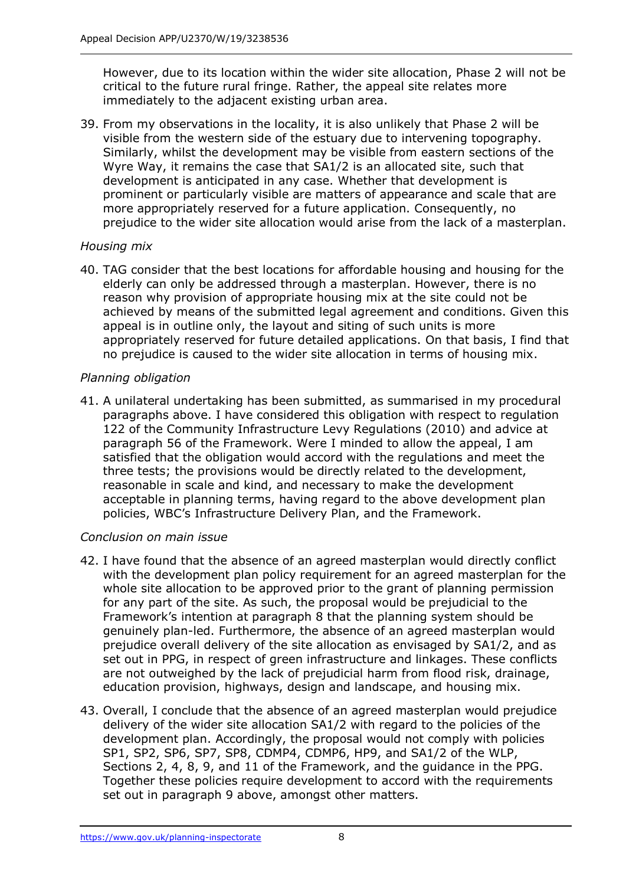However, due to its location within the wider site allocation, Phase 2 will not be critical to the future rural fringe. Rather, the appeal site relates more immediately to the adjacent existing urban area.

39. From my observations in the locality, it is also unlikely that Phase 2 will be visible from the western side of the estuary due to intervening topography. Similarly, whilst the development may be visible from eastern sections of the Wyre Way, it remains the case that SA1/2 is an allocated site, such that development is anticipated in any case. Whether that development is prominent or particularly visible are matters of appearance and scale that are more appropriately reserved for a future application. Consequently, no prejudice to the wider site allocation would arise from the lack of a masterplan.

# *Housing mix*

40. TAG consider that the best locations for affordable housing and housing for the elderly can only be addressed through a masterplan. However, there is no reason why provision of appropriate housing mix at the site could not be achieved by means of the submitted legal agreement and conditions. Given this appeal is in outline only, the layout and siting of such units is more appropriately reserved for future detailed applications. On that basis, I find that no prejudice is caused to the wider site allocation in terms of housing mix.

# *Planning obligation*

41. A unilateral undertaking has been submitted, as summarised in my procedural paragraphs above. I have considered this obligation with respect to regulation 122 of the Community Infrastructure Levy Regulations (2010) and advice at paragraph 56 of the Framework. Were I minded to allow the appeal, I am satisfied that the obligation would accord with the regulations and meet the three tests; the provisions would be directly related to the development, reasonable in scale and kind, and necessary to make the development acceptable in planning terms, having regard to the above development plan policies, WBC's Infrastructure Delivery Plan, and the Framework.

# *Conclusion on main issue*

- 42. I have found that the absence of an agreed masterplan would directly conflict with the development plan policy requirement for an agreed masterplan for the whole site allocation to be approved prior to the grant of planning permission for any part of the site. As such, the proposal would be prejudicial to the Framework's intention at paragraph 8 that the planning system should be genuinely plan-led. Furthermore, the absence of an agreed masterplan would prejudice overall delivery of the site allocation as envisaged by SA1/2, and as set out in PPG, in respect of green infrastructure and linkages. These conflicts are not outweighed by the lack of prejudicial harm from flood risk, drainage, education provision, highways, design and landscape, and housing mix.
- 43. Overall, I conclude that the absence of an agreed masterplan would prejudice delivery of the wider site allocation SA1/2 with regard to the policies of the development plan. Accordingly, the proposal would not comply with policies SP1, SP2, SP6, SP7, SP8, CDMP4, CDMP6, HP9, and SA1/2 of the WLP, Sections 2, 4, 8, 9, and 11 of the Framework, and the guidance in the PPG. Together these policies require development to accord with the requirements set out in paragraph 9 above, amongst other matters.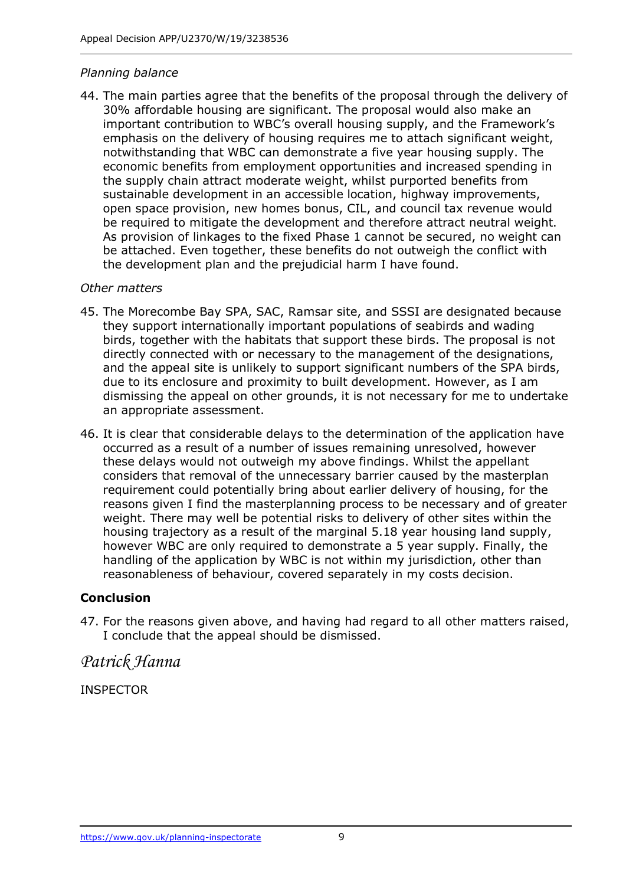# *Planning balance*

44. The main parties agree that the benefits of the proposal through the delivery of 30% affordable housing are significant. The proposal would also make an important contribution to WBC's overall housing supply, and the Framework's emphasis on the delivery of housing requires me to attach significant weight, notwithstanding that WBC can demonstrate a five year housing supply. The economic benefits from employment opportunities and increased spending in the supply chain attract moderate weight, whilst purported benefits from sustainable development in an accessible location, highway improvements, open space provision, new homes bonus, CIL, and council tax revenue would be required to mitigate the development and therefore attract neutral weight. As provision of linkages to the fixed Phase 1 cannot be secured, no weight can be attached. Even together, these benefits do not outweigh the conflict with the development plan and the prejudicial harm I have found.

## *Other matters*

- 45. The Morecombe Bay SPA, SAC, Ramsar site, and SSSI are designated because they support internationally important populations of seabirds and wading birds, together with the habitats that support these birds. The proposal is not directly connected with or necessary to the management of the designations, and the appeal site is unlikely to support significant numbers of the SPA birds, due to its enclosure and proximity to built development. However, as I am dismissing the appeal on other grounds, it is not necessary for me to undertake an appropriate assessment.
- 46. It is clear that considerable delays to the determination of the application have occurred as a result of a number of issues remaining unresolved, however these delays would not outweigh my above findings. Whilst the appellant considers that removal of the unnecessary barrier caused by the masterplan requirement could potentially bring about earlier delivery of housing, for the reasons given I find the masterplanning process to be necessary and of greater weight. There may well be potential risks to delivery of other sites within the housing trajectory as a result of the marginal 5.18 year housing land supply, however WBC are only required to demonstrate a 5 year supply. Finally, the handling of the application by WBC is not within my jurisdiction, other than reasonableness of behaviour, covered separately in my costs decision.

# **Conclusion**

47. For the reasons given above, and having had regard to all other matters raised, I conclude that the appeal should be dismissed.

*Patrick Hanna*

INSPECTOR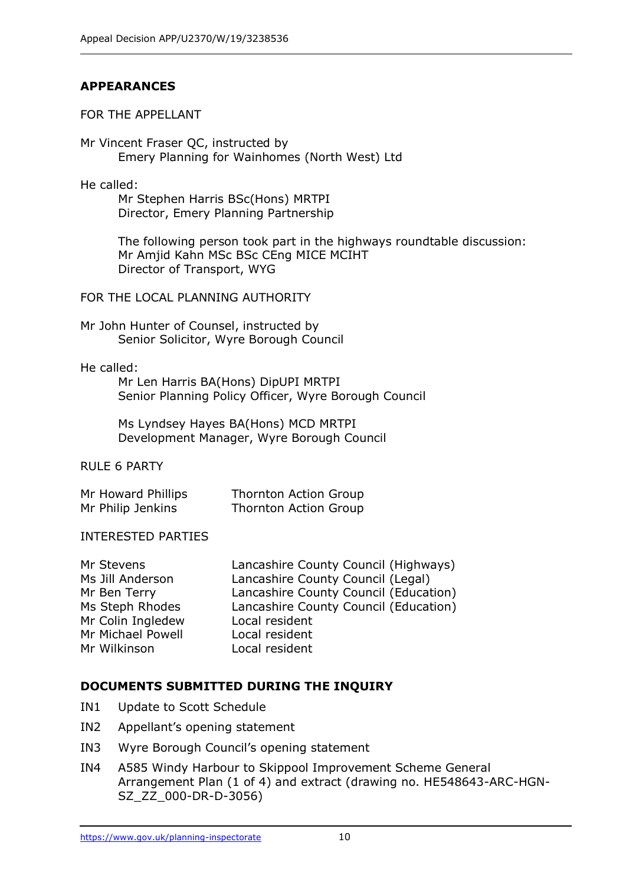# **APPEARANCES**

#### FOR THE APPELLANT

Mr Vincent Fraser QC, instructed by Emery Planning for Wainhomes (North West) Ltd

He called:

Mr Stephen Harris BSc(Hons) MRTPI Director, Emery Planning Partnership

The following person took part in the highways roundtable discussion: Mr Amjid Kahn MSc BSc CEng MICE MCIHT Director of Transport, WYG

#### FOR THE LOCAL PLANNING AUTHORITY

Mr John Hunter of Counsel, instructed by Senior Solicitor, Wyre Borough Council

#### He called:

Mr Len Harris BA(Hons) DipUPI MRTPI Senior Planning Policy Officer, Wyre Borough Council

Ms Lyndsey Hayes BA(Hons) MCD MRTPI Development Manager, Wyre Borough Council

# RULE 6 PARTY

| Mr Howard Phillips | Thornton Action Group |
|--------------------|-----------------------|
| Mr Philip Jenkins  | Thornton Action Group |

#### INTERESTED PARTIES

| Mr Stevens        | Lancashire County Council (Highways)  |
|-------------------|---------------------------------------|
| Ms Jill Anderson  | Lancashire County Council (Legal)     |
| Mr Ben Terry      | Lancashire County Council (Education) |
| Ms Steph Rhodes   | Lancashire County Council (Education) |
| Mr Colin Ingledew | Local resident                        |
| Mr Michael Powell | Local resident                        |
| Mr Wilkinson      | Local resident                        |
|                   |                                       |

## **DOCUMENTS SUBMITTED DURING THE INQUIRY**

- IN1 Update to Scott Schedule
- IN2 Appellant's opening statement
- IN3 Wyre Borough Council's opening statement
- IN4 A585 Windy Harbour to Skippool Improvement Scheme General Arrangement Plan (1 of 4) and extract (drawing no. HE548643-ARC-HGN-SZ\_ZZ\_000-DR-D-3056)